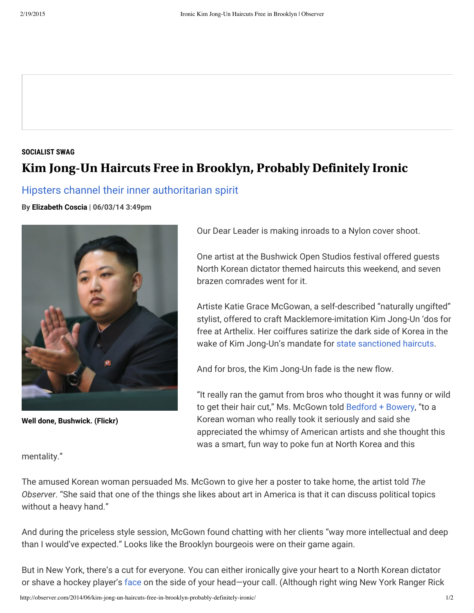## SOCIALIST SWAG **Kim Jong-Un Haircuts Free in Brooklyn, Probably Definitely Ironic**

Hipsters channel their inner authoritarian spirit

By [Elizabeth](http://observer.com/author/elizabeth-coscia/) Coscia | 06/03/14 3:49pm



Well done, Bushwick. (Flickr)

Our Dear Leader is making inroads to a Nylon cover shoot.

One artist at the Bushwick Open Studios festival offered guests North Korean dictator themed haircuts this weekend, and seven brazen comrades went for it.

Artiste Katie Grace McGowan, a self-described "naturally ungifted" stylist, offered to craft Macklemore-imitation Kim Jong-Un 'dos for free at Arthelix. Her coiffures satirize the dark side of Korea in the wake of Kim Jong-Un's mandate for state [sanctioned](http://www.policymic.com/articles/86135/these-are-the-28-state-sanctioned-haircuts-you-can-choose-in-north-korea) haircuts.

And for bros, the Kim Jong-Un fade is the new flow.

"It really ran the gamut from bros who thought it was funny or wild to get their hair cut," Ms. McGown told [Bedford](http://bedfordandbowery.com/2014/06/these-people-got-free-kim-jong-un-haircuts-in-bushwick/) + Bowery, "to a Korean woman who really took it seriously and said she appreciated the whimsy of American artists and she thought this was a smart, fun way to poke fun at North Korea and this

mentality."

The amused Korean woman persuaded Ms. McGown to give her a poster to take home, the artist told The Observer. "She said that one of the things she likes about art in America is that it can discuss political topics without a heavy hand."

And during the priceless style session, McGown found chatting with her clients "way more intellectual and deep than I would've expected." Looks like the Brooklyn bourgeois were on their game again.

But in New York, there's a cut for everyone. You can either ironically give your heart to a North Korean dictator or shave a hockey player's [face](http://www.huffingtonpost.com/2014/04/18/rangers-fan-rick-nash-haircut_n_5173647.html) on the side of your head—your call. (Although right wing New York Ranger Rick